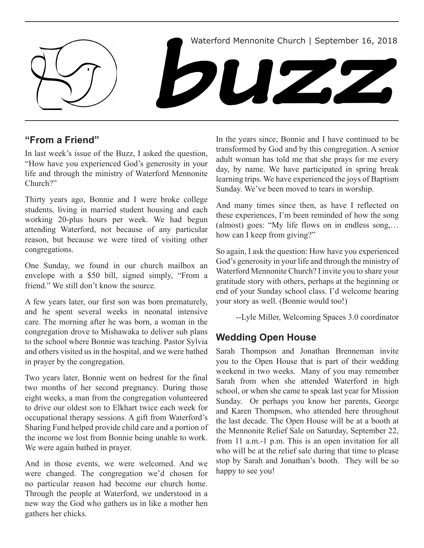

# **"From a Friend"**

In last week's issue of the Buzz, I asked the question, "How have you experienced God's generosity in your life and through the ministry of Waterford Mennonite Church?"

Thirty years ago, Bonnie and I were broke college students, living in married student housing and each working 20-plus hours per week. We had begun attending Waterford, not because of any particular reason, but because we were tired of visiting other congregations.

One Sunday, we found in our church mailbox an envelope with a \$50 bill, signed simply, "From a friend." We still don't know the source.

A few years later, our first son was born prematurely, and he spent several weeks in neonatal intensive care. The morning after he was born, a woman in the congregation drove to Mishawaka to deliver sub plans to the school where Bonnie was teaching. Pastor Sylvia and others visited us in the hospital, and we were bathed in prayer by the congregation.

Two years later, Bonnie went on bedrest for the final two months of her second pregnancy. During those eight weeks, a man from the congregation volunteered to drive our oldest son to Elkhart twice each week for occupational therapy sessions. A gift from Waterford's Sharing Fund helped provide child care and a portion of the income we lost from Bonnie being unable to work. We were again bathed in prayer.

And in those events, we were welcomed. And we were changed. The congregation we'd chosen for no particular reason had become our church home. Through the people at Waterford, we understood in a new way the God who gathers us in like a mother hen gathers her chicks.

In the years since, Bonnie and I have continued to be transformed by God and by this congregation. A senior adult woman has told me that she prays for me every day, by name. We have participated in spring break learning trips. We have experienced the joys of Baptism Sunday. We've been moved to tears in worship.

And many times since then, as have I reflected on these experiences, I'm been reminded of how the song (almost) goes: "My life flows on in endless song,… how can I keep from giving?"

So again, I ask the question: How have you experienced God's generosity in your life and through the ministry of Waterford Mennonite Church? I invite you to share your gratitude story with others, perhaps at the beginning or end of your Sunday school class. I'd welcome hearing your story as well. (Bonnie would too!)

--Lyle Miller, Welcoming Spaces 3.0 coordinator

# **Wedding Open House**

Sarah Thompson and Jonathan Brenneman invite you to the Open House that is part of their wedding weekend in two weeks. Many of you may remember Sarah from when she attended Waterford in high school, or when she came to speak last year for Mission Sunday. Or perhaps you know her parents, George and Karen Thompson, who attended here throughout the last decade. The Open House will be at a booth at the Mennonite Relief Sale on Saturday, September 22, from 11 a.m.-1 p.m. This is an open invitation for all who will be at the relief sale during that time to please stop by Sarah and Jonathan's booth. They will be so happy to see you!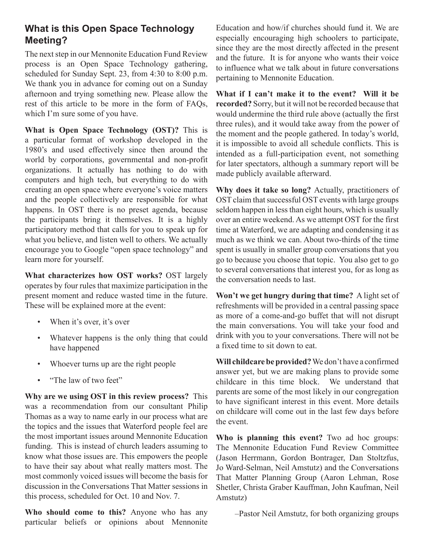# **What is this Open Space Technology Meeting?**

The next step in our Mennonite Education Fund Review process is an Open Space Technology gathering, scheduled for Sunday Sept. 23, from 4:30 to 8:00 p.m. We thank you in advance for coming out on a Sunday afternoon and trying something new. Please allow the rest of this article to be more in the form of FAQs, which I'm sure some of you have.

**What is Open Space Technology (OST)?** This is a particular format of workshop developed in the 1980's and used effectively since then around the world by corporations, governmental and non-profit organizations. It actually has nothing to do with computers and high tech, but everything to do with creating an open space where everyone's voice matters and the people collectively are responsible for what happens. In OST there is no preset agenda, because the participants bring it themselves. It is a highly participatory method that calls for you to speak up for what you believe, and listen well to others. We actually encourage you to Google "open space technology" and learn more for yourself.

**What characterizes how OST works?** OST largely operates by four rules that maximize participation in the present moment and reduce wasted time in the future. These will be explained more at the event:

- When it's over, it's over
- Whatever happens is the only thing that could have happened
- Whoever turns up are the right people
- "The law of two feet"

**Why are we using OST in this review process?** This was a recommendation from our consultant Philip Thomas as a way to name early in our process what are the topics and the issues that Waterford people feel are the most important issues around Mennonite Education funding. This is instead of church leaders assuming to know what those issues are. This empowers the people to have their say about what really matters most. The most commonly voiced issues will become the basis for discussion in the Conversations That Matter sessions in this process, scheduled for Oct. 10 and Nov. 7.

**Who should come to this?** Anyone who has any particular beliefs or opinions about Mennonite

Education and how/if churches should fund it. We are especially encouraging high schoolers to participate, since they are the most directly affected in the present and the future. It is for anyone who wants their voice to influence what we talk about in future conversations pertaining to Mennonite Education.

**What if I can't make it to the event? Will it be recorded?** Sorry, but it will not be recorded because that would undermine the third rule above (actually the first three rules), and it would take away from the power of the moment and the people gathered. In today's world, it is impossible to avoid all schedule conflicts. This is intended as a full-participation event, not something for later spectators, although a summary report will be made publicly available afterward.

**Why does it take so long?** Actually, practitioners of OST claim that successful OST events with large groups seldom happen in less than eight hours, which is usually over an entire weekend. As we attempt OST for the first time at Waterford, we are adapting and condensing it as much as we think we can. About two-thirds of the time spent is usually in smaller group conversations that you go to because you choose that topic. You also get to go to several conversations that interest you, for as long as the conversation needs to last.

**Won't we get hungry during that time?** A light set of refreshments will be provided in a central passing space as more of a come-and-go buffet that will not disrupt the main conversations. You will take your food and drink with you to your conversations. There will not be a fixed time to sit down to eat.

**Will childcare be provided?** We don't have a confirmed answer yet, but we are making plans to provide some childcare in this time block. We understand that parents are some of the most likely in our congregation to have significant interest in this event. More details on childcare will come out in the last few days before the event.

**Who is planning this event?** Two ad hoc groups: The Mennonite Education Fund Review Committee (Jason Herrmann, Gordon Bontrager, Dan Stoltzfus, Jo Ward-Selman, Neil Amstutz) and the Conversations That Matter Planning Group (Aaron Lehman, Rose Shetler, Christa Graber Kauffman, John Kaufman, Neil Amstutz)

–Pastor Neil Amstutz, for both organizing groups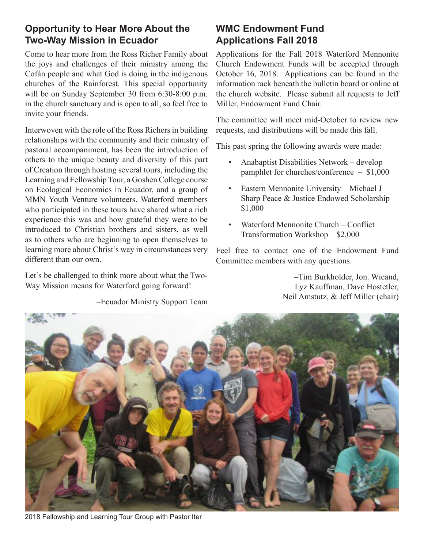# **Opportunity to Hear More About the Two-Way Mission in Ecuador**

Come to hear more from the Ross Richer Family about the joys and challenges of their ministry among the Cofán people and what God is doing in the indigenous churches of the Rainforest. This special opportunity will be on Sunday September 30 from 6:30-8:00 p.m. in the church sanctuary and is open to all, so feel free to invite your friends.

Interwoven with the role of the Ross Richers in building relationships with the community and their ministry of pastoral accompaniment, has been the introduction of others to the unique beauty and diversity of this part of Creation through hosting several tours, including the Learning and Fellowship Tour, a Goshen College course on Ecological Economics in Ecuador, and a group of MMN Youth Venture volunteers. Waterford members who participated in these tours have shared what a rich experience this was and how grateful they were to be introduced to Christian brothers and sisters, as well as to others who are beginning to open themselves to learning more about Christ's way in circumstances very different than our own.

Let's be challenged to think more about what the Two-Way Mission means for Waterford going forward!

### –Ecuador Ministry Support Team

# **WMC Endowment Fund Applications Fall 2018**

Applications for the Fall 2018 Waterford Mennonite Church Endowment Funds will be accepted through October 16, 2018. Applications can be found in the information rack beneath the bulletin board or online at the church website. Please submit all requests to Jeff Miller, Endowment Fund Chair.

The committee will meet mid-October to review new requests, and distributions will be made this fall.

This past spring the following awards were made:

- Anabaptist Disabilities Network develop pamphlet for churches/conference – \$1,000
- • Eastern Mennonite University Michael J Sharp Peace & Justice Endowed Scholarship – \$1,000
- Waterford Mennonite Church Conflict Transformation Workshop – \$2,000

Feel free to contact one of the Endowment Fund Committee members with any questions.

> –Tim Burkholder, Jon. Wieand, Lyz Kauffman, Dave Hostetler, Neil Amstutz, & Jeff Miller (chair)



2018 Fellowship and Learning Tour Group with Pastor Iter